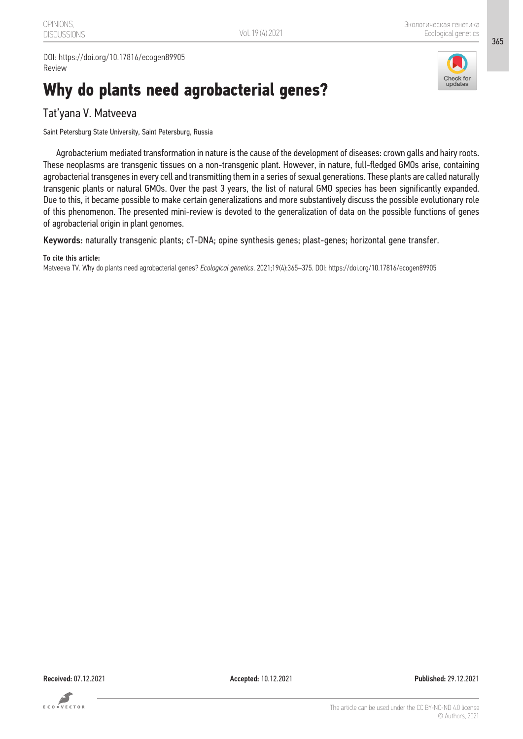DOI: https://doi.org/10.17816/ecogen89905 Review

# **Why do plants need agrobacterial genes?**



365

### Tat'yana V. Matveeva

Saint Petersburg State University, Saint Petersburg, Russia

Agrobacterium mediated transformation in nature is the cause of the development of diseases: crown galls and hairy roots. These neoplasms are transgenic tissues on a non-transgenic plant. However, in nature, full-fledged GMOs arise, containing agrobacterial transgenes in every cell and transmitting them in a series of sexual generations. These plants are called naturally transgenic plants or natural GMOs. Over the past 3 years, the list of natural GMO species has been significantly expanded. Due to this, it became possible to make certain generalizations and more substantively discuss the possible evolutionary role of this phenomenon. The presented mini-review is devoted to the generalization of data on the possible functions of genes of agrobacterial origin in plant genomes.

Keywords: naturally transgenic plants; cT-DNA; opine synthesis genes; plast-genes; horizontal gene transfer.

#### To cite this article:

Matveeva TV. Why do plants need agrobacterial genes? *Ecological genetics*. 2021;19(4):365–375. DOI: https://doi.org/10.17816/ecogen89905



Received: 07.12.2021 Accepted: 10.12.2021 Published: 29.12.2021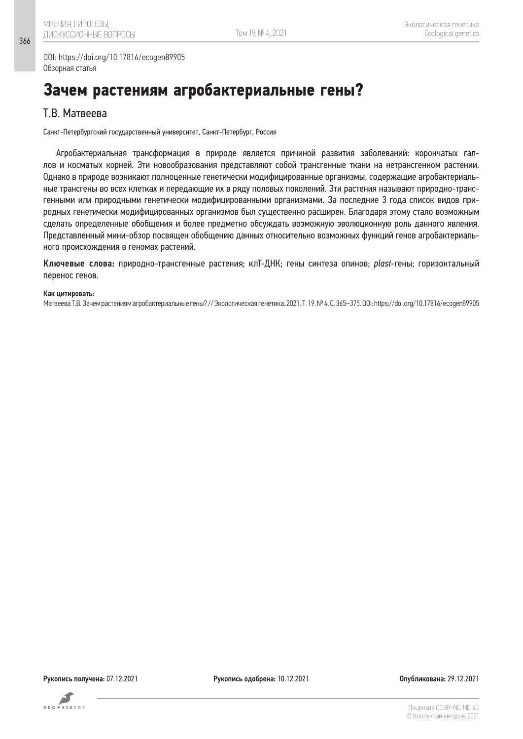DOI: https://doi.org/10.17816/ecogen89905 Обзорная статья

# **Зачем растениям агробактериальные гены?**

### Т.В. Матвеева

Санкт-Петербургский государственный университет, Санкт-Петербург, Россия

Агробактериальная трансформация в природе является причиной развития заболеваний: корончатых галлов и косматых корней. Эти новообразования представляют собой трансгенные ткани на нетрансгенном растении. Однако в природе возникают полноценные генетически модифицированные организмы, содержащие агробактериальные трансгены во всех клетках и передающие их в ряду половых поколений. Эти растения называют природно-трансгенными или природными генетически модифицированными организмами. За последние 3 года список видов природных генетически модифицированных организмов был существенно расширен. Благодаря этому стало возможным сделать определенные обобщения и более предметно обсуждать возможную эволюционную роль данного явления. Представленный мини-обзор посвящен обобщению данных относительно возможных функций генов агробактериального происхождения в геномах растений.

Ключевые слова: природно-трансгенные растения; клТ-ДНК; гены синтеза опинов; *plast*-гены; горизонтальный перенос генов.

#### Как цитировать:

Матвеева Т.В. Зачем растениям агробактериальные гены? // Экологическая генетика. 2021. Т. 19. № 4. С. 365–375. DOI: https://doi.org/10.17816/ecogen89905

366

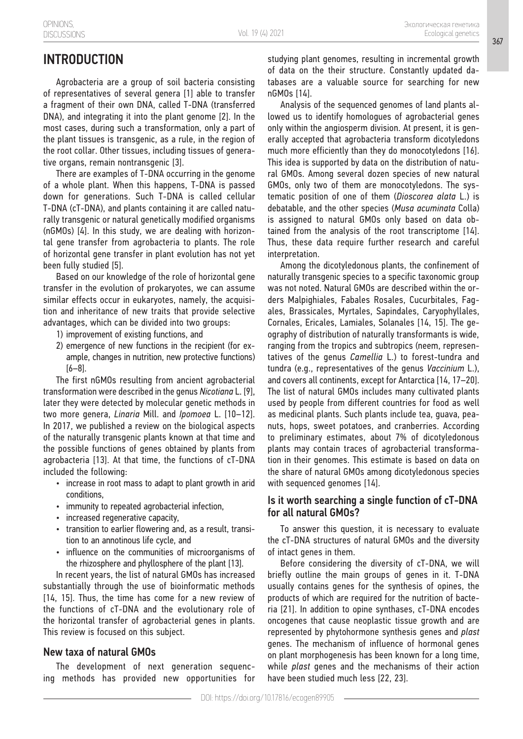## INTRODUCTION

Agrobacteria are a group of soil bacteria consisting of representatives of several genera [1] able to transfer a fragment of their own DNA, called T-DNA (transferred DNA), and integrating it into the plant genome [2]. In the most cases, during such a transformation, only a part of the plant tissues is transgenic, as a rule, in the region of the root collar. Other tissues, including tissues of generative organs, remain nontransgenic [3].

There are examples of T-DNA occurring in the genome of a whole plant. When this happens, T-DNA is passed down for generations. Such T-DNA is called cellular T-DNA (cT-DNA), and plants containing it are called naturally transgenic or natural genetically modified organisms (nGMOs) [4]. In this study, we are dealing with horizontal gene transfer from agrobacteria to plants. The role of horizontal gene transfer in plant evolution has not yet been fully studied [5].

Based on our knowledge of the role of horizontal gene transfer in the evolution of prokaryotes, we can assume similar effects occur in eukaryotes, namely, the acquisition and inheritance of new traits that provide selective advantages, which can be divided into two groups:

- 1) improvement of existing functions, and
- 2) emergence of new functions in the recipient (for example, changes in nutrition, new protective functions) [6–8].

The first nGMOs resulting from ancient agrobacterial transformation were described in the genus *Nicotiana* L. [9], later they were detected by molecular genetic methods in two more genera, *Linaria* Mill. and *Ipomoea* L. [10–12]. In 2017, we published a review on the biological aspects of the naturally transgenic plants known at that time and the possible functions of genes obtained by plants from agrobacteria [13]. At that time, the functions of cT-DNA included the following:

- increase in root mass to adapt to plant growth in arid conditions,
- immunity to repeated agrobacterial infection,
- • increased regenerative capacity,
- transition to earlier flowering and, as a result, transition to an annotinous life cycle, and
- influence on the communities of microorganisms of the rhizosphere and phyllosphere of the plant [13].

In recent years, the list of natural GMOs has increased substantially through the use of bioinformatic methods [14, 15]. Thus, the time has come for a new review of the functions of cT-DNA and the evolutionary role of the horizontal transfer of agrobacterial genes in plants. This review is focused on this subject.

#### New taxa of natural GMOs

The development of next generation sequencing methods has provided new opportunities for studying plant genomes, resulting in incremental growth of data on the their structure. Constantly updated databases are a valuable source for searching for new nGMOs [14].

Analysis of the sequenced genomes of land plants allowed us to identify homologues of agrobacterial genes only within the angiosperm division. At present, it is generally accepted that agrobacteria transform dicotyledons much more efficiently than they do monocotyledons [16]. This idea is supported by data on the distribution of natural GMOs. Among several dozen species of new natural GMOs, only two of them are monocotyledons. The systematic position of one of them (*Dioscorea alata* L.) is debatable, and the other species (*Musa acuminata* Colla) is assigned to natural GMOs only based on data obtained from the analysis of the root transcriptome [14]. Thus, these data require further research and careful interpretation.

Among the dicotyledonous plants, the confinement of naturally transgenic species to a specific taxonomic group was not noted. Natural GMOs are described within the orders Malpighiales, Fabales Rosales, Cucurbitales, Fagales, Brassicales, Myrtales, Sapindales, Caryophyllales, Cornales, Ericales, Lamiales, Solanales [14, 15]. The geography of distribution of naturally transformants is wide, ranging from the tropics and subtropics (neem, representatives of the genus *Camellia* L.) to forest-tundra and tundra (e.g., representatives of the genus *Vaccinium* L.), and covers all continents, except for Antarctica [14, 17–20]. The list of natural GMOs includes many cultivated plants used by people from different countries for food as well as medicinal plants. Such plants include tea, guava, peanuts, hops, sweet potatoes, and cranberries. According to preliminary estimates, about 7% of dicotyledonous plants may contain traces of agrobacterial transformation in their genomes. This estimate is based on data on the share of natural GMOs among dicotyledonous species with sequenced genomes [14].

#### Is it worth searching a single function of cT-DNA for all natural GMOs?

To answer this question, it is necessary to evaluate the cT-DNA structures of natural GMOs and the diversity of intact genes in them.

Before considering the diversity of cT-DNA, we will briefly outline the main groups of genes in it. T-DNA usually contains genes for the synthesis of opines, the products of which are required for the nutrition of bacteria [21]. In addition to opine synthases, cT-DNA encodes oncogenes that cause neoplastic tissue growth and are represented by phytohormone synthesis genes and *plast* genes. The mechanism of influence of hormonal genes on plant morphogenesis has been known for a long time, while *plast* genes and the mechanisms of their action have been studied much less [22, 23].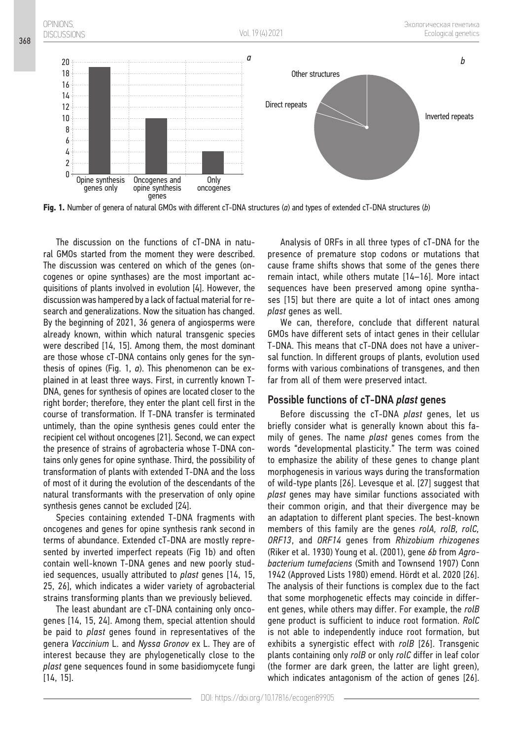

**Fig. 1.** Number of genera of natural GMOs with different cT-DNA structures (*a*) and types of extended cT-DNA structures (*b*)

The discussion on the functions of cT-DNA in natural GMOs started from the moment they were described. The discussion was centered on which of the genes (oncogenes or opine synthases) are the most important acquisitions of plants involved in evolution [4]. However, the discussion was hampered by a lack of factual material for research and generalizations. Now the situation has changed. By the beginning of 2021, 36 genera of angiosperms were already known, within which natural transgenic species were described [14, 15]. Among them, the most dominant are those whose cT-DNA contains only genes for the synthesis of opines (Fig. 1, *a*). This phenomenon can be explained in at least three ways. First, in currently known T-DNA, genes for synthesis of opines are located closer to the right border; therefore, they enter the plant cell first in the course of transformation. If T-DNA transfer is terminated untimely, than the opine synthesis genes could enter the recipient cel without oncogenes [21]. Second, we can expect the presence of strains of agrobacteria whose T-DNA contains only genes for opine synthase. Third, the possibility of transformation of plants with extended T-DNA and the loss of most of it during the evolution of the descendants of the natural transformants with the preservation of only opine synthesis genes cannot be excluded [24].

368

Species containing extended T-DNA fragments with oncogenes and genes for opine synthesis rank second in terms of abundance. Extended cT-DNA are mostly represented by inverted imperfect repeats (Fig 1b) and often contain well-known T-DNA genes and new poorly studied sequences, usually attributed to *plast* genes [14, 15, 25, 26], which indicates a wider variety of agrobacterial strains transforming plants than we previously believed.

The least abundant are cT-DNA containing only oncogenes [14, 15, 24]. Among them, special attention should be paid to *plast* genes found in representatives of the genera *Vaccinium* L. and *Nyssa Gronov* ex L. They are of interest because they are phylogenetically close to the *plast* gene sequences found in some basidiomycete fungi [14, 15].

Analysis of ORFs in all three types of cT-DNA for the presence of premature stop codons or mutations that cause frame shifts shows that some of the genes there remain intact, while others mutate [14–16]. More intact sequences have been preserved among opine synthases [15] but there are quite a lot of intact ones among *plast* genes as well.

We can, therefore, conclude that different natural GMOs have different sets of intact genes in their cellular T-DNA. This means that cT-DNA does not have a universal function. In different groups of plants, evolution used forms with various combinations of transgenes, and then far from all of them were preserved intact.

#### Possible functions of cT-DNA *plast* genes

Before discussing the cT-DNA *plast* genes, let us briefly consider what is generally known about this family of genes. The name *plast* genes comes from the words "developmental plasticity." The term was coined to emphasize the ability of these genes to change plant morphogenesis in various ways during the transformation of wild-type plants [26]. Levesque et al. [27] suggest that *plast* genes may have similar functions associated with their common origin, and that their divergence may be an adaptation to different plant species. The best-known members of this family are the genes *rolA, rolB, rolC, ORF13*, and *ORF14* genes from *Rhizobium rhizogenes* (Riker et al. 1930) Young et al. (2001), gene *6b* from *Agrobacterium tumefaciens* (Smith and Townsend 1907) Conn 1942 (Approved Lists 1980) emend. Hördt et al. 2020 [26]. The analysis of their functions is complex due to the fact that some morphogenetic effects may coincide in different genes, while others may differ. For example, the *rolB* gene product is sufficient to induce root formation. *RolC* is not able to independently induce root formation, but exhibits a synergistic effect with *rolB* [26]. Transgenic plants containing only *rolB* or only *rolC* differ in leaf color (the former are dark green, the latter are light green), which indicates antagonism of the action of genes [26].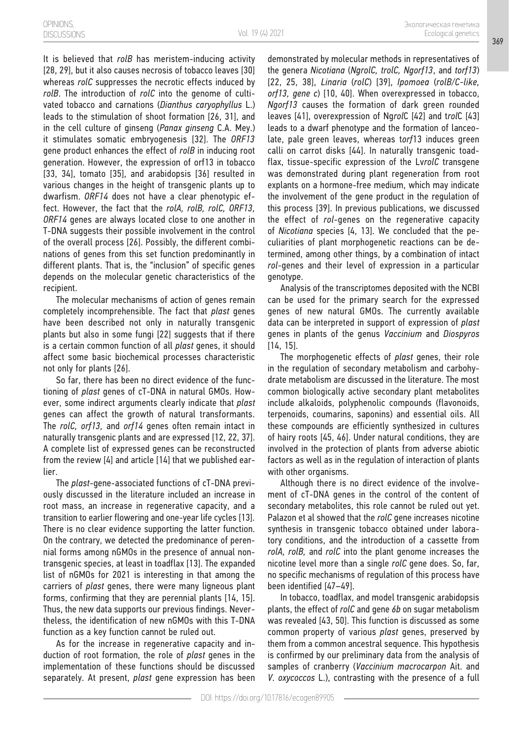It is believed that *rolB* has meristem-inducing activity [28, 29], but it also causes necrosis of tobacco leaves [30] whereas *rolC* suppresses the necrotic effects induced by *rolB*. The introduction of *rolC* into the genome of cultivated tobacco and carnations (*Dianthus caryophyllus* L.) leads to the stimulation of shoot formation [26, 31], and in the cell culture of ginseng (*Panax ginseng* C.A. Mey.) it stimulates somatic embryogenesis [32]. The *ORF13* gene product enhances the effect of *rolB* in inducing root generation. However, the expression of orf13 in tobacco [33, 34], tomato [35], and arabidopsis [36] resulted in various changes in the height of transgenic plants up to dwarfism. *ORF14* does not have a clear phenotypic effect. However, the fact that the *rolA, rolB, rolC, ORF13, ORF14* genes are always located close to one another in T-DNA suggests their possible involvement in the control of the overall process [26]. Possibly, the different combinations of genes from this set function predominantly in different plants. That is, the "inclusion" of specific genes depends on the molecular genetic characteristics of the recipient.

The molecular mechanisms of action of genes remain completely incomprehensible. The fact that *plast* genes have been described not only in naturally transgenic plants but also in some fungi [22] suggests that if there is a certain common function of all *plast* genes, it should affect some basic biochemical processes characteristic not only for plants [26].

So far, there has been no direct evidence of the functioning of *plast* genes of cT-DNA in natural GMOs. However, some indirect arguments clearly indicate that *plast* genes can affect the growth of natural transformants. The *rolC, orf13,* and *orf14* genes often remain intact in naturally transgenic plants and are expressed [12, 22, 37]. A complete list of expressed genes can be reconstructed from the review [4] and article [14] that we published earlier.

The *plast*-gene-associated functions of cT-DNA previously discussed in the literature included an increase in root mass, an increase in regenerative capacity, and a transition to earlier flowering and one-year life cycles [13]. There is no clear evidence supporting the latter function. On the contrary, we detected the predominance of perennial forms among nGMOs in the presence of annual nontransgenic species, at least in toadflax [13]. The expanded list of nGMOs for 2021 is interesting in that among the carriers of *plast* genes, there were many ligneous plant forms, confirming that they are perennial plants [14, 15]. Thus, the new data supports our previous findings. Nevertheless, the identification of new nGMOs with this T-DNA function as a key function cannot be ruled out.

As for the increase in regenerative capacity and induction of root formation, the role of *plast* genes in the implementation of these functions should be discussed separately. At present, *plast* gene expression has been demonstrated by molecular methods in representatives of the genera *Nicotiana* (*NgrolC, trolC, Ngorf13*, and *torf13*) [22, 25, 38], *Linaria* (*rolC*) [39], *Ipomoea* (*rolB/C-like, orf13, gene c*) [10, 40]. When overexpressed in tobacco, *Ngorf13* causes the formation of dark green rounded leaves [41], overexpression of Ng*rol*C [42] and t*rol*C [43] leads to a dwarf phenotype and the formation of lanceolate, pale green leaves, whereas t*orf*13 induces green calli on carrot disks [44]. In naturally transgenic toadflax, tissue-specific expression of the Lv*rolC* transgene was demonstrated during plant regeneration from root explants on a hormone-free medium, which may indicate the involvement of the gene product in the regulation of this process [39]. In previous publications, we discussed the effect of *rol*-genes on the regenerative capacity of *Nicotiana* species [4, 13]. We concluded that the peculiarities of plant morphogenetic reactions can be determined, among other things, by a combination of intact *rol*-genes and their level of expression in a particular genotype.

Analysis of the transcriptomes deposited with the NCBI can be used for the primary search for the expressed genes of new natural GMOs. The currently available data can be interpreted in support of expression of *plast* genes in plants of the genus *Vaccinium* and *Diospyros* [14, 15].

The morphogenetic effects of *plast* genes, their role in the regulation of secondary metabolism and carbohydrate metabolism are discussed in the literature. The most common biologically active secondary plant metabolites include alkaloids, polyphenolic compounds (flavonoids, terpenoids, coumarins, saponins) and essential oils. All these compounds are efficiently synthesized in cultures of hairy roots [45, 46]. Under natural conditions, they are involved in the protection of plants from adverse abiotic factors as well as in the regulation of interaction of plants with other organisms.

Although there is no direct evidence of the involvement of cT-DNA genes in the control of the content of secondary metabolites, this role cannot be ruled out yet. Palazon et al showed that the *rolC* gene increases nicotine synthesis in transgenic tobacco obtained under laboratory conditions, and the introduction of a cassette from *rolA, rolB,* and *rolC* into the plant genome increases the nicotine level more than a single *rolC* gene does. So, far, no specific mechanisms of regulation of this process have been identified [47–49].

In tobacco, toadflax, and model transgenic arabidopsis plants, the effect of *rolC* and gene *6b* on sugar metabolism was revealed [43, 50]. This function is discussed as some common property of various *plast* genes, preserved by them from a common ancestral sequence. This hypothesis is confirmed by our preliminary data from the analysis of samples of cranberry (*Vaccinium macrocarpon* Ait. and *V*. *oxycoccos* L.), contrasting with the presence of a full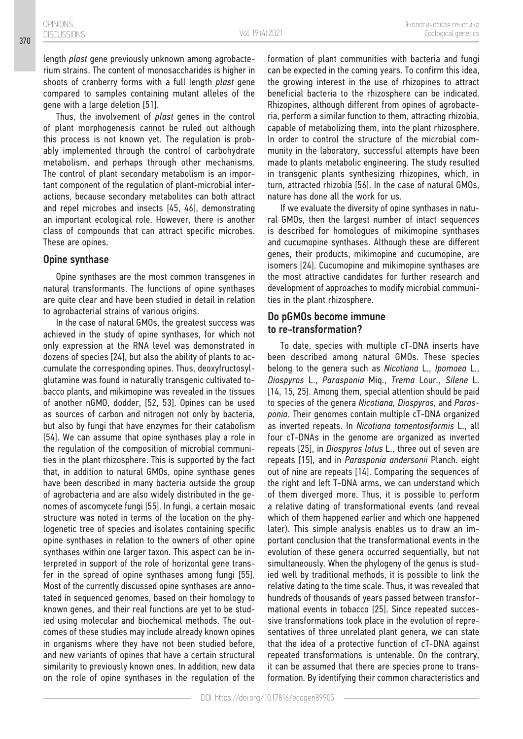length *plast* gene previously unknown among agrobacterium strains. The content of monosaccharides is higher in shoots of cranberry forms with a full length *plast* gene compared to samples containing mutant alleles of the gene with a large deletion [51].

Thus, the involvement of *plast* genes in the control of plant morphogenesis cannot be ruled out although this process is not known yet. The regulation is probably implemented through the control of carbohydrate metabolism, and perhaps through other mechanisms. The control of plant secondary metabolism is an important component of the regulation of plant-microbial interactions, because secondary metabolites can both attract and repel microbes and insects [45, 46], demonstrating an important ecological role. However, there is another class of compounds that can attract specific microbes. These are opines.

#### Opine synthase

Opine synthases are the most common transgenes in natural transformants. The functions of opine synthases are quite clear and have been studied in detail in relation to agrobacterial strains of various origins.

In the case of natural GMOs, the greatest success was achieved in the study of opine synthases, for which not only expression at the RNA level was demonstrated in dozens of species [24], but also the ability of plants to accumulate the corresponding opines. Thus, deoxyfructosylglutamine was found in naturally transgenic cultivated tobacco plants, and mikimopine was revealed in the tissues of another nGMO, dodder, [52, 53]. Opines can be used as sources of carbon and nitrogen not only by bacteria, but also by fungi that have enzymes for their catabolism [54]. We can assume that opine synthases play a role in the regulation of the composition of microbial communities in the plant rhizosphere. This is supported by the fact that, in addition to natural GMOs, opine synthase genes have been described in many bacteria outside the group of agrobacteria and are also widely distributed in the genomes of ascomycete fungi [55]. In fungi, a certain mosaic structure was noted in terms of the location on the phylogenetic tree of species and isolates containing specific opine synthases in relation to the owners of other opine synthases within one larger taxon. This aspect can be interpreted in support of the role of horizontal gene transfer in the spread of opine synthases among fungi [55]. Most of the currently discussed opine synthases are annotated in sequenced genomes, based on their homology to known genes, and their real functions are yet to be studied using molecular and biochemical methods. The outcomes of these studies may include already known opines in organisms where they have not been studied before, and new variants of opines that have a certain structural similarity to previously known ones. In addition, new data on the role of opine synthases in the regulation of the

formation of plant communities with bacteria and fungi can be expected in the coming years. To confirm this idea, the growing interest in the use of rhizopines to attract beneficial bacteria to the rhizosphere can be indicated. Rhizopines, although different from opines of agrobacteria, perform a similar function to them, attracting rhizobia, capable of metabolizing them, into the plant rhizosphere. In order to control the structure of the microbial community in the laboratory, successful attempts have been made to plants metabolic engineering. The study resulted in transgenic plants synthesizing rhizopines, which, in turn, attracted rhizobia [56]. In the case of natural GMOs, nature has done all the work for us.

If we evaluate the diversity of opine synthases in natural GMOs, then the largest number of intact sequences is described for homologues of mikimopine synthases and cucumopine synthases. Although these are different genes, their products, mikimopine and cucumopine, are isomers [24]. Cucumopine and mikimopine synthases are the most attractive candidates for further research and development of approaches to modify microbial communities in the plant rhizosphere.

#### Do pGMOs become immune to re-transformation?

To date, species with multiple cT-DNA inserts have been described among natural GMOs. These species belong to the genera such as *Nicotiana* L., *Ipomoea* L., *Diospyros* L., *Parasponia* Miq., *Trema* Lour*.*, *Silene* L. [14, 15, 25]. Among them, special attention should be paid to species of the genera *Nicotiana, Diospyros,* and *Parasponia*. Their genomes contain multiple cT-DNA organized as inverted repeats. In *Nicotiana tomentosiformis* L., all four cT-DNAs in the genome are organized as inverted repeats [25], in *Diospyros lotus* L., three out of seven are repeats [15], and in *Parasponia andersonii* Planch. eight out of nine are repeats [14]. Comparing the sequences of the right and left T-DNA arms, we can understand which of them diverged more. Thus, it is possible to perform a relative dating of transformational events (and reveal which of them happened earlier and which one happened later). This simple analysis enables us to draw an important conclusion that the transformational events in the evolution of these genera occurred sequentially, but not simultaneously. When the phylogeny of the genus is studied well by traditional methods, it is possible to link the relative dating to the time scale. Thus, it was revealed that hundreds of thousands of years passed between transformational events in tobacco [25]. Since repeated successive transformations took place in the evolution of representatives of three unrelated plant genera, we can state that the idea of a protective function of cT-DNA against repeated transformations is untenable. On the contrary, it can be assumed that there are species prone to transformation. By identifying their common characteristics and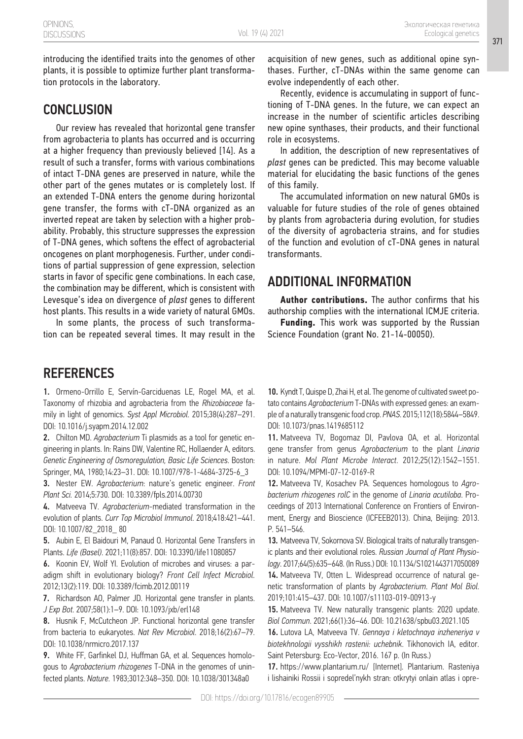introducing the identified traits into the genomes of other plants, it is possible to optimize further plant transformation protocols in the laboratory.

### **CONCLUSION**

Our review has revealed that horizontal gene transfer from agrobacteria to plants has occurred and is occurring at a higher frequency than previously believed [14]. As a result of such a transfer, forms with various combinations of intact T-DNA genes are preserved in nature, while the other part of the genes mutates or is completely lost. If an extended T-DNA enters the genome during horizontal gene transfer, the forms with cT-DNA organized as an inverted repeat are taken by selection with a higher probability. Probably, this structure suppresses the expression of T-DNA genes, which softens the effect of agrobacterial oncogenes on plant morphogenesis. Further, under conditions of partial suppression of gene expression, selection starts in favor of specific gene combinations. In each case, the combination may be different, which is consistent with Levesque's idea on divergence of *plast* genes to different host plants. This results in a wide variety of natural GMOs.

In some plants, the process of such transformation can be repeated several times. It may result in the

### **REFERENCES**

1. Ormeno-Orrillo E, Servín-Garciduenas LE, Rogel MA, et al. Taxonomy of rhizobia and agrobacteria from the *Rhizobiaceae* family in light of genomics. *Syst Appl Microbiol*. 2015;38(4):287–291. DOI: 10.1016/j.syapm.2014.12.002

2. Chilton MD. *Agrobacterium* Ti plasmids as a tool for genetic engineering in plants. In: Rains DW, Valentine RC, Hollaender A, editors. *Genetic Engineering of Osmoregulation, Basic Life Sciences*. Boston: Springer, MA, 1980;14:23–31. DOI: 10.1007/978-1-4684-3725-6\_3

3. Nester EW. *Agrobacterium*: nature's genetic engineer. *Front Plant Sci.* 2014;5:730. DOI: 10.3389/fpls.2014.00730

4. Matveeva TV. *Agrobacterium*-mediated transformation in the evolution of plants. *Curr Top Microbiol Immunol*. 2018;418:421–441. DOI: 10.1007/82\_2018\_ 80

5. Aubin E, El Baidouri M, Panaud O. Horizontal Gene Transfers in Plants. *Life (Basel)*. 2021;11(8):857. DOI: 10.3390/life11080857

6. Koonin EV, Wolf YI. Evolution of microbes and viruses: a paradigm shift in evolutionary biology? *Front Cell Infect Microbiol*. 2012;13(2):119. DOI: 10.3389/fcimb.2012.00119

7. Richardson AO, Palmer JD. Horizontal gene transfer in plants. *J Exp Bot*. 2007;58(1):1–9. DOI: 10.1093/jxb/erl148

8. Husnik F, McCutcheon JP. Functional horizontal gene transfer from bacteria to eukaryotes. *Nat Rev Microbiol*. 2018;16(2):67–79. DOI: 10.1038/nrmicro.2017.137

9. White FF, Garfinkel DJ, Huffman GA, et al. Sequences homologous to *Agrobacterium rhizogenes* T-DNA in the genomes of uninfected plants. *Nature*. 1983;3012:348–350. DOI: 10.1038/301348a0

acquisition of new genes, such as additional opine synthases. Further, cT-DNAs within the same genome can evolve independently of each other.

Recently, evidence is accumulating in support of functioning of T-DNA genes. In the future, we can expect an increase in the number of scientific articles describing new opine synthases, their products, and their functional role in ecosystems.

In addition, the description of new representatives of *plast* genes can be predicted. This may become valuable material for elucidating the basic functions of the genes of this family.

The accumulated information on new natural GMOs is valuable for future studies of the role of genes obtained by plants from agrobacteria during evolution, for studies of the diversity of agrobacteria strains, and for studies of the function and evolution of cT-DNA genes in natural transformants.

### ADDITIONAL INFORMATION

**Author contributions.** The author confirms that his authorship complies with the international ICMJE criteria.

**Funding.** This work was supported by the Russian Science Foundation (grant No. 21-14-00050).

10. Kyndt T, Quispe D, Zhai H, et al. The genome of cultivated sweet potato contains *Agrobacterium* T-DNAs with expressed genes: an example of a naturally transgenic food crop. *PNAS*. 2015;112(18):5844–5849. DOI: 10.1073/pnas.1419685112

11. Matveeva TV, Bogomaz DI, Pavlova OA, et al. Horizontal gene transfer from genus *Agrobacterium* to the plant *Linaria*  in nature. *Mol Plant Microbe Interact*. 2012;25(12):1542–1551. DOI: 10.1094/MPMI-07-12-0169-R

12. Matveeva TV, Kosachev PA. Sequences homologous to *Agrobacterium rhizogenes rolC* in the genome of *Linaria acutiloba*. Proceedings of 2013 International Conference on Frontiers of Environment, Energy and Bioscience (ICFEEB2013). China, Beijing: 2013. P. 541–546.

13. Matveeva TV, Sokornova SV. Biological traits of naturally transgenic plants and their evolutional roles. *Russian Journal of Plant Physiology*. 2017;64(5):635–648. (In Russ.) DOI: 10.1134/S1021443717050089 14. Matveeva TV, Otten L. Widespread occurrence of natural genetic transformation of plants by *Agrobacterium*. *Plant Mol Biol*. 2019;101:415–437. DOI: 10.1007/s11103-019-00913-y

15. Matveeva TV. New naturally transgenic plants: 2020 update. *Biol Commun*. 2021;66(1):36–46. DOI: 10.21638/spbu03.2021.105

16. Lutova LA, Matveeva TV. *Gennaya i kletochnaya inzheneriya v biotekhnologii vysshikh rastenii: uchebnik*. Tikhonovich IA, editor. Saint Petersburg: Eco-Vector, 2016. 167 p. (In Russ.)

17. https://www.plantarium.ru/ [Internet]. Plantarium. Rasteniya i lishainiki Rossii i sopredel'nykh stran: otkrytyi onlain atlas i opre-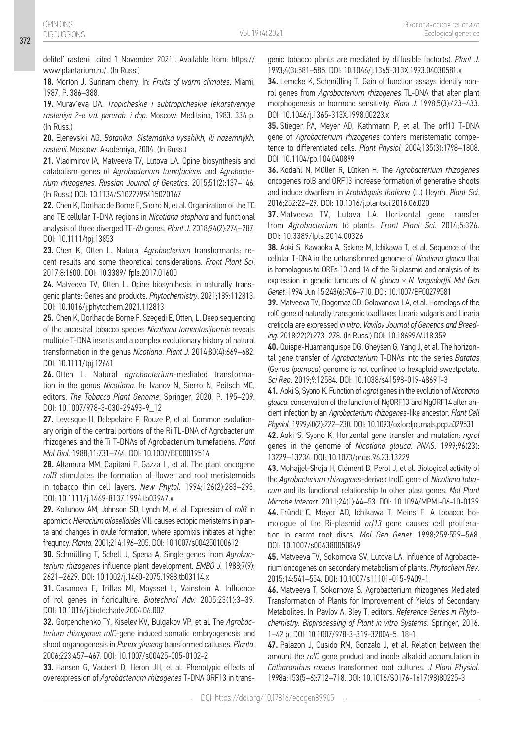delitel' rastenii [cited 1 November 2021]. Available from: https:// www.plantarium.ru/. (In Russ.)

18. Morton J. Surinam cherry. In: *Fruits of warm climates*. Miami, 1987. P. 386–388.

19. Murav'eva DA. *Tropicheskie i subtropicheskie lekarstvennye rasteniya 2-e izd. pererab. i dop*. Moscow: Meditsina, 1983. 336 p. (In Russ.)

20. Elenevskii AG. *Botanika*. *Sistematika vysshikh, ili nazemnykh, rastenii*. Moscow: Akademiya, 2004. (In Russ.)

21. Vladimirov IA, Matveeva TV, Lutova LA. Opine biosynthesis and catabolism genes of *Agrobacterium tumefaciens* and *Agrobacterium rhizogenes*. *Russian Journal of Genetics*. 2015;51(2):137–146. (In Russ.) DOI: 10.1134/S1022795415020167

22. Chen K, Dorlhac de Borne F, Sierro N, et al. Organization of the TC and TE cellular T-DNA regions in *Nicotiana otophora* and functional analysis of three diverged TE-*6b* genes. *Plant J*. 2018;94(2):274–287. DOI: 10.1111/tpj.13853

23. Chen K, Otten L. Natural *Agrobacterium* transformants: recent results and some theoretical considerations. *Front Plant Sci*. 2017;8:1600. DOI: 10.3389/ fpls.2017.01600

24. Matveeva TV, Otten L. Opine biosynthesis in naturally transgenic plants: Genes and products. *Phytochemistry*. 2021;189:112813. DOI: 10.1016/j.phytochem.2021.112813

25. Chen K, Dorlhac de Borne F, Szegedi E, Otten, L. Deep sequencing of the ancestral tobacco species *Nicotiana tomentosiformis* reveals multiple T-DNA inserts and a complex evolutionary history of natural transformation in the genus *Nicotiana*. *Plant J*. 2014;80(4):669–682. DOI: 10.1111/tpj.12661

26. Otten L. Natural *agrobacterium*-mediated transformation in the genus *Nicotiana*. In: Ivanov N, Sierro N, Peitsch MC, editors. *The Tobacco Plant Genome*. Springer, 2020. P. 195–209. DOI: 10.1007/978-3-030-29493-9\_12

27. Levesque H, Delepelaire P, Rouze P, et al. Common evolutionary origin of the central portions of the Ri TL-DNA of Agrobacterium rhizogenes and the Ti T-DNAs of Agrobacterium tumefaciens. *Plant Mol Biol*. 1988;11:731–744. DOI: 10.1007/BF00019514

28. Altamura MM, Capitani F, Gazza L, et al. The plant oncogene *rolB* stimulates the formation of flower and root meristemoids in tobacco thin cell layers. *New Phytol.* 1994;126(2):283–293. DOI: 10.1111/j.1469-8137.1994.tb03947.x

29. Koltunow AM, Johnson SD, Lynch M, et al. Expression of *rolB* in apomictic *Hieracium piloselloides* Vill. causes ectopic meristems in planta and changes in ovule formation, where apomixis initiates at higher frequncy. *Planta*. 2001;214:196–205. DOI: 10.1007/s004250100612

30. Schmülling T, Schell J, Spena A. Single genes from *Agrobacterium rhizogenes* influence plant development. *EMBO J.* 1988;7(9): 2621–2629. DOI: 10.1002/j.1460-2075.1988.tb03114.x

31. Casanova E, Trillas MI, Moysset L, Vainstein A. Influence of rol genes in floriculture. *Biotechnol Adv.* 2005;23(1):3–39. DOI: 10.1016/j.biotechadv.2004.06.002

32. Gorpenchenko TY, Kiselev KV, Bulgakov VP, et al. The *Agrobacterium rhizogenes rolC*-gene induced somatic embryogenesis and shoot organogenesis in *Panax ginseng* transformed calluses. *Planta*. 2006;223:457–467. DOI: 10.1007/s00425-005-0102-2

33. Hansen G, Vaubert D, Heron JH, et al. Phenotypic effects of overexpression of *Agrobacterium rhizogenes* T-DNA ORF13 in transgenic tobacco plants are mediated by diffusible factor(s). *Plant J.* 1993;4(3):581–585. DOI: 10.1046/j.1365-313X.1993.04030581.x

34. Lemcke K, Schmülling T. Gain of function assays identify nonrol genes from *Agrobacterium rhizogenes* TL-DNA that alter plant morphogenesis or hormone sensitivity. *Plant J.* 1998;5(3):423–433. DOI: 10.1046/j.1365-313X.1998.00223.x

35. Stieger PA, Meyer AD, Kathmann P, et al. The orf13 T-DNA gene of *Agrobacterium rhizogenes* confers meristematic competence to differentiated cells. *Plant Physiol.* 2004;135(3):1798–1808. DOI: 10.1104/pp.104.040899

36. Kodahl N, Müller R, Lütken H. The *Agrobacterium rhizogenes* oncogenes rolB and ORF13 increase formation of generative shoots and induce dwarfism in *Arabidopsis thaliana* (L.) Heynh. *Plant Sci.* 2016;252:22–29. DOI: 10.1016/j.plantsci.2016.06.020

37. Matveeva TV, Lutova LA. Horizontal gene transfer from *Agrobacterium* to plants. *Front Plant Sci*. 2014;5:326. DOI: 10.3389/fpls.2014.00326

38. Aoki S, Kawaoka A, Sekine M, Ichikawa T, et al. Sequence of the cellular T-DNA in the untransformed genome of *Nicotiana glauca* that is homologous to ORFs 13 and 14 of the Ri plasmid and analysis of its expression in genetic tumours of *N. glauca* × *N. langsdorffii. Mol Gen Genet*. 1994 Jun 15;243(6):706–710. DOI: 10.1007/BF00279581

39. Matveeva TV, Bogomaz OD, Golovanova LA, et al. Homologs of the rolC gene of naturally transgenic toadflaxes Linaria vulgaris and Linaria creticola are expressed *in vitro*. *Vavilov Journal of Genetics and Breeding*. 2018;22(2):273–278. (In Russ.) DOI: 10.18699/VJ18.359

40. Quispe-Huamanquispe DG, Gheysen G, Yang J, et al. The horizontal gene transfer of *Agrobacterium* T-DNAs into the series *Batatas*  (Genus *Ipomoea*) genome is not confined to hexaploid sweetpotato. *Sci Rep*. 2019;9:12584. DOI: 10.1038/s41598-019-48691-3

41. Aoki S, Syono K. Function of *ngrol* genes in the evolution of *Nicotiana glauca*: conservation of the function of NgORF13 and NgORF14 after ancient infection by an *Agrobacterium rhizogenes*-like ancestor. *Plant Cell Physiol.* 1999;40(2):222–230. DOI: 10.1093/oxfordjournals.pcp.a029531

42. Aoki S, Syono K. Horizontal gene transfer and mutation: *ngrol* genes in the genome of *Nicotiana glauca*. *PNAS*. 1999;96(23): 13229–13234. DOI: 10.1073/pnas.96.23.13229

43. Mohajjel-Shoja H, Clément B, Perot J, et al. Biological activity of the *Agrobacterium rhizogenes*-derived trolC gene of *Nicotiana tabacum* and its functional relationship to other plast genes. *Mol Plant Microbe Interact.* 2011;24(1):44–53. DOI: 10.1094/MPMI-06-10-0139 44. Fründt C, Meyer AD, Ichikawa T, Meins F. A tobacco homologue of the Ri-plasmid *orf13* gene causes cell proliferation in carrot root discs. *Mol Gen Genet.* 1998;259:559–568. DOI: 10.1007/s004380050849

45. Matveeva TV, Sokornova SV, Lutova LA. Influence of Agrobacterium oncogenes on secondary metabolism of plants. *Phytochem Rev*. 2015;14:541–554. DOI: 10.1007/s11101-015-9409-1

46. Matveeva T, Sokornova S. Agrobacterium rhizogenes Mediated Transformation of Plants for Improvement of Yields of Secondary Metabolites. In: Pavlov A, Bley T, editors. *Reference Series in Phytochemistry. Bioprocessing of Plant in vitro Systems*. Springer, 2016. 1–42 p. DOI: 10.1007/978-3-319-32004-5\_18-1

47. Palazon J, Cusido RM, Gonzalo J, et al. Relation between the amount the *rolC* gene product and indole alkaloid accumulation in *Catharanthus roseus* transformed root cultures. *J Plant Physiol*. 1998a;153(5–6):712–718. DOI: 10.1016/S0176-1617(98)80225-3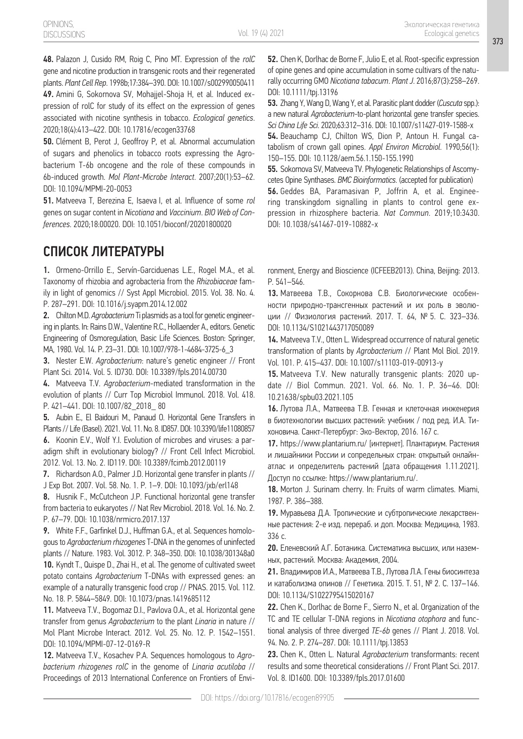48. Palazon J, Cusido RM, Roig C, Pino MT. Expression of the *rolC* gene and nicotine production in transgenic roots and their regenerated plants. *Plant Cell Rep*. 1998b;17:384–390. DOI: 10.1007/s002990050411

49. Amini G, Sokornova SV, Mohajjel-Shoja H, et al. Induced expression of rolC for study of its effect on the expression of genes associated with nicotine synthesis in tobacco. *Ecological genetics*. 2020;18(4):413–422. DOI: 10.17816/ecogen33768

50. Clément B, Perot J, Geoffroy P, et al. Abnormal accumulation of sugars and phenolics in tobacco roots expressing the Agrobacterium T-6b oncogene and the role of these compounds in 6b-induced growth. *Mol Plant-Microbe Interact*. 2007;20(1):53–62. DOI: 10.1094/MPMI-20-0053

51. Matveeva T, Berezina E, Isaeva I, et al. Influence of some *rol* genes on sugar content in *Nicotiana* and *Vaccinium*. *BIO Web of Conferences*. 2020;18:00020. DOI: 10.1051/bioconf/20201800020

## СПИСОК ЛИТЕРАТУРЫ

1. Ormeno-Orrillo E., Servín-Garciduenas L.E., Rogel M.A., et al. Taxonomy of rhizobia and agrobacteria from the *Rhizobiaceae* family in light of genomics // Syst Appl Microbiol. 2015. Vol. 38. No. 4. P. 287–291. DOI: 10.1016/j.syapm.2014.12.002

2. Chilton M.D. *Agrobacterium* Ti plasmids as a tool for genetic engineering in plants. In: Rains D.W., Valentine R.C., Hollaender A., editors. Genetic Engineering of Osmoregulation, Basic Life Sciences. Boston: Springer, MA, 1980. Vol. 14. P. 23–31. DOI: 10.1007/978-1-4684-3725-6\_3

3. Nester E.W. *Agrobacterium*: nature's genetic engineer // Front Plant Sci*.* 2014. Vol. 5. ID730. DOI: 10.3389/fpls.2014.00730

4. Matveeva T.V. *Agrobacterium*-mediated transformation in the evolution of plants // Curr Top Microbiol Immunol. 2018. Vol. 418. P. 421–441. DOI: 10.1007/82\_2018\_ 80

5. Aubin E., El Baidouri M., Panaud O. Horizontal Gene Transfers in Plants // Life (Basel). 2021. Vol. 11. No. 8. ID857. DOI: 10.3390/life11080857 6. Koonin E.V., Wolf Y.I. Evolution of microbes and viruses: a paradigm shift in evolutionary biology? // Front Cell Infect Microbiol. 2012. Vol. 13. No. 2. ID119. DOI: 10.3389/fcimb.2012.00119

7. Richardson A.O., Palmer J.D. Horizontal gene transfer in plants // J Exp Bot. 2007. Vol. 58. No. 1. P. 1–9. DOI: 10.1093/jxb/erl148

8. Husnik F., McCutcheon J.P. Functional horizontal gene transfer from bacteria to eukaryotes // Nat Rev Microbiol. 2018. Vol. 16. No. 2. P. 67–79. DOI: 10.1038/nrmicro.2017.137

9. White F.F., Garfinkel D.J., Huffman G.A., et al. Sequences homologous to *Agrobacterium rhizogenes* T-DNA in the genomes of uninfected plants // Nature. 1983. Vol. 3012. P. 348–350. DOI: 10.1038/301348a0 10. Kyndt T., Quispe D., Zhai H., et al. The genome of cultivated sweet potato contains *Agrobacterium* T-DNAs with expressed genes: an example of a naturally transgenic food crop // PNAS. 2015. Vol. 112. No. 18. P. 5844–5849. DOI: 10.1073/pnas.1419685112

11. Matveeva T.V., Bogomaz D.I., Pavlova O.A., et al. Horizontal gene transfer from genus *Agrobacterium* to the plant *Linaria* in nature // Mol Plant Microbe Interact. 2012. Vol. 25. No. 12. P. 1542–1551. DOI: 10.1094/MPMI-07-12-0169-R

12. Matveeva T.V., Kosachev P.A. Sequences homologous to *Agrobacterium rhizogenes rolC* in the genome of *Linaria acutiloba* // Proceedings of 2013 International Conference on Frontiers of Envi52. Chen K, Dorlhac de Borne F, Julio E, et al. Root-specific expression of opine genes and opine accumulation in some cultivars of the naturally occurring GMO *Nicotiana tabacum*. *Plant J*. 2016;87(3):258–269. DOI: 10.1111/tpj.13196

53. Zhang Y, Wang D, Wang Y, et al. Parasitic plant dodder (*Cuscuta* spp.): a new natural *Agrobacterium*-to-plant horizontal gene transfer species. *Sci China Life Sci*. 2020;63:312–316. DOI: 10.1007/s11427-019-1588-x 54. Beauchamp CJ, Chilton WS, Dion P, Antoun H. Fungal ca-

tabolism of crown gall opines. *Appl Environ Microbiol*. 1990;56(1): 150–155. DOI: 10.1128/aem.56.1.150-155.1990

55. Sokornova SV, Matveeva TV. Phylogenetic Relationships of Ascomycetes Opine Synthases. *BMC Bioinformatics*. (accepted for publication) 56. Geddes BA, Paramasivan P, Joffrin A, et al. Engineering transkingdom signalling in plants to control gene expression in rhizosphere bacteria. *Nat Commun*. 2019;10:3430. DOI: 10.1038/s41467-019-10882-x

ronment, Energy and Bioscience (ICFEEB2013). China, Beijing: 2013. Р. 541–546.

13. Матвеева Т.В., Сокорнова С.В. Биологические особенности природно-трансгенных растений и их роль в эволюции // Физиология растений. 2017. Т. 64, № 5. C. 323–336. DOI: 10.1134/S1021443717050089

14. Matveeva T.V., Otten L. Widespread occurrence of natural genetic transformation of plants by *Agrobacterium* // Plant Mol Biol. 2019. Vol. 101. P. 415–437. DOI: 10.1007/s11103-019-00913-y

15. Matveeva T.V. New naturally transgenic plants: 2020 update // Biol Commun. 2021. Vol. 66. No. 1. P. 36–46. DOI: 10.21638/spbu03.2021.105

16. Лутова Л.А., Матвеева Т.В. Генная и клеточная инженерия в биотехнологии высших растений: учебник / под ред. И.А. Тихоновича. Санкт-Петербург: Эко-Вектор, 2016. 167 с.

17. https://www.plantarium.ru/ [интернет]. Плантариум. Растения и лишайники России и сопредельных стран: открытый онлайнатлас и определитель растений [дата обращения 1.11.2021]. Доступ по ссылке: https://www.plantarium.ru/.

18. Morton J. Surinam cherry. In: Fruits of warm climates. Miami, 1987. P. 386–388.

19. Муравьева Д.А. Тропические и субтропические лекарственные растения: 2-е изд. перераб. и доп. Москва: Медицина, 1983. 336 с.

20. Еленевский А.Г. Ботаника. Систематика высших, или наземных, растений. Москва: Академия, 2004.

21. Владимиров И.А., Матвеева Т.В., Лутова Л.А. Гены биосинтеза и катаболизма опинов // Генетика. 2015. Т. 51, № 2. С. 137–146. DOI: 10.1134/S1022795415020167

22. Chen K., Dorlhac de Borne F., Sierro N., et al. Organization of the TC and TE cellular T-DNA regions in *Nicotiana otophora* and functional analysis of three diverged *TE*-*6b* genes // Plant J. 2018. Vol. 94. No. 2. P. 274–287. DOI: 10.1111/tpj.13853

23. Chen K., Otten L. Natural *Agrobacterium* transformants: recent results and some theoretical considerations // Front Plant Sci. 2017. Vol. 8. ID1600. DOI: 10.3389/fpls.2017.01600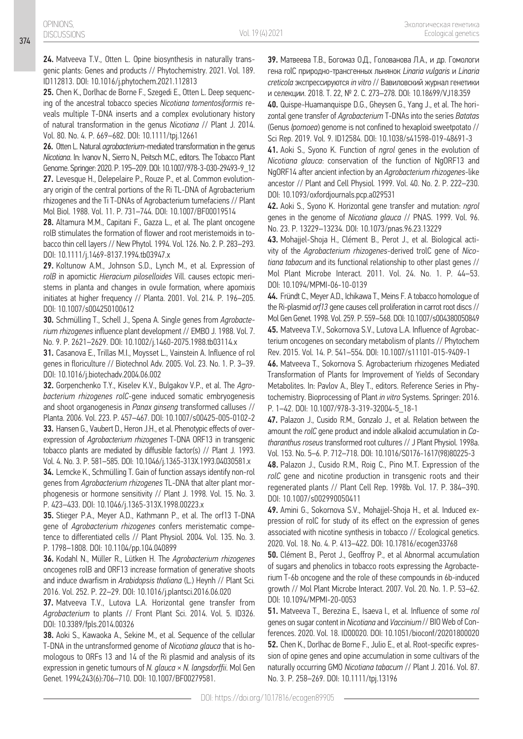24. Matveeva T.V., Otten L. Opine biosynthesis in naturally transgenic plants: Genes and products // Phytochemistry. 2021. Vol. 189. ID112813. DOI: 10.1016/j.phytochem.2021.112813

25. Chen K., Dorlhac de Borne F., Szegedi E., Otten L. Deep sequencing of the ancestral tobacco species *Nicotiana tomentosiformis* reveals multiple T-DNA inserts and a complex evolutionary history of natural transformation in the genus *Nicotiana* // Plant J. 2014. Vol. 80. No. 4. P. 669–682. DOI: 10.1111/tpj.12661

26. Otten L. Natural *agrobacterium*-mediated transformation in the genus *Nicotiana*. In: Ivanov N., Sierro N., Peitsch M.C., editors. The Tobacco Plant Genome. Springer: 2020. Р. 195–209. DOI: 10.1007/978-3-030-29493-9\_12 27. Levesque H., Delepelaire P., Rouze P., et al. Common evolutionary origin of the central portions of the Ri TL-DNA of Agrobacterium rhizogenes and the Ti T-DNAs of Agrobacterium tumefaciens // Plant Mol Biol. 1988. Vol. 11. P. 731–744. DOI: 10.1007/BF00019514

28. Altamura M.M., Capitani F., Gazza L., et al. The plant oncogene rolB stimulates the formation of flower and root meristemoids in tobacco thin cell layers // New Phytol*.* 1994. Vol. 126. No. 2. P. 283–293. DOI: 10.1111/j.1469-8137.1994.tb03947.x

29. Koltunow A.M., Johnson S.D., Lynch M., et al. Expression of *rolB* in apomictic *Hieracium piloselloides* Vill. causes ectopic meristems in planta and changes in ovule formation, where apomixis initiates at higher frequency // Planta. 2001. Vol. 214. P. 196–205. DOI: 10.1007/s004250100612

30. Schmülling T., Schell J., Spena A. Single genes from *Agrobacterium rhizogenes* influence plant development // EMBO J*.* 1988. Vol. 7. No. 9. P. 2621–2629. DOI: 10.1002/j.1460-2075.1988.tb03114.x

31. Casanova E., Trillas M.I., Moysset L., Vainstein A. Influence of rol genes in floriculture // Biotechnol Adv*.* 2005. Vol. 23. No. 1. P. 3–39. DOI: 10.1016/j.biotechadv.2004.06.002

32. Gorpenchenko T.Y., Kiselev K.V., Bulgakov V.P., et al. The *Agrobacterium rhizogenes rolC*-gene induced somatic embryogenesis and shoot organogenesis in *Panax ginseng* transformed calluses // Planta. 2006. Vol. 223. P. 457–467. DOI: 10.1007/s00425-005-0102-2 33. Hansen G., Vaubert D., Heron J.H., et al. Phenotypic effects of overexpression of *Agrobacterium rhizogenes* T-DNA ORF13 in transgenic tobacco plants are mediated by diffusible factor(s) // Plant J*.* 1993. Vol. 4. No. 3. P. 581–585. DOI: 10.1046/j.1365-313X.1993.04030581.x

34. Lemcke K., Schmülling T. Gain of function assays identify non-rol genes from *Agrobacterium rhizogenes* TL-DNA that alter plant morphogenesis or hormone sensitivity // Plant J. 1998. Vol. 15. No. 3. P. 423–433. DOI: 10.1046/j.1365-313X.1998.00223.x

35. Stieger P.A., Meyer A.D., Kathmann P., et al. The orf13 T-DNA gene of *Agrobacterium rhizogenes* confers meristematic competence to differentiated cells // Plant Physiol*.* 2004. Vol. 135. No. 3. P. 1798–1808. DOI: 10.1104/pp.104.040899

36. Kodahl N., Müller R., Lütken H. The *Agrobacterium rhizogenes* oncogenes rolB and ORF13 increase formation of generative shoots and induce dwarfism in *Arabidopsis thaliana* (L.) Heynh // Plant Sci*.* 2016. Vol. 252. P. 22–29. DOI: 10.1016/j.plantsci.2016.06.020

**37.** Matveeva T.V., Lutova L.A. Horizontal gene transfer from *Agrobacterium* to plants // Front Plant Sci. 2014. Vol. 5. ID326. DOI: 10.3389/fpls.2014.00326

38. Aoki S., Kawaoka A., Sekine M., et al. Sequence of the cellular T-DNA in the untransformed genome of *Nicotiana glauca* that is homologous to ORFs 13 and 14 of the Ri plasmid and analysis of its expression in genetic tumours of *N. glauca* × *N. langsdorffii*. Mol Gen Genet. 1994;243(6):706–710. DOI: 10.1007/BF00279581.

39. Матвеева Т.В., Богомаз О.Д., Голованова Л.А., и др. Гомологи гена rolC природно-трансгенных льнянок *Linaria vulgaris* и *Linaria creticola* экспрессируются *in vitro* // Вавиловский журнал генетики и селекции. 2018. Т. 22, № 2. С. 273–278. DOI: 10.18699/VJ18.359

40. Quispe-Huamanquispe D.G., Gheysen G., Yang J., et al. The horizontal gene transfer of *Agrobacterium* T-DNAs into the series *Batatas*  (Genus *Ipomoea*) genome is not confined to hexaploid sweetpotato // Sci Rep. 2019. Vol. 9. ID12584. DOI: 10.1038/s41598-019-48691-3

41. Aoki S., Syono K. Function of *ngrol* genes in the evolution of *Nicotiana glauca*: conservation of the function of NgORF13 and NgORF14 after ancient infection by an *Agrobacterium rhizogenes*-like ancestor // Plant and Cell Physiol*.* 1999. Vol. 40. No. 2. P. 222–230. DOI: 10.1093/oxfordjournals.pcp.a029531

42. Aoki S., Syono K. Horizontal gene transfer and mutation: *ngrol* genes in the genome of *Nicotiana glauca* // PNAS. 1999. Vol. 96. No. 23. P. 13229–13234. DOI: 10.1073/pnas.96.23.13229

43. Mohajjel-Shoja H., Clément B., Perot J., et al. Biological activity of the *Agrobacterium rhizogenes*-derived trolC gene of *Nicotiana tabacum* and its functional relationship to other plast genes // Mol Plant Microbe Interact*.* 2011. Vol. 24. No. 1. P. 44–53. DOI: 10.1094/MPMI-06-10-0139

44. Fründt C., Meyer A.D., Ichikawa T., Meins F. A tobacco homologue of the Ri-plasmid *orf13* gene causes cell proliferation in carrot root discs // Mol Gen Genet*.* 1998. Vol. 259. P. 559–568. DOI: 10.1007/s004380050849 45. Matveeva T.V., Sokornova S.V., Lutova L.A. Influence of Agrobacterium oncogenes on secondary metabolism of plants // Phytochem Rev. 2015. Vol. 14. P. 541–554. DOI: 10.1007/s11101-015-9409-1

46. Matveeva T., Sokornova S. Agrobacterium rhizogenes Mediated Transformation of Plants for Improvement of Yields of Secondary Metabolites. In: Pavlov A., Bley T., editors. Reference Series in Phytochemistry. Bioprocessing of Plant *in vitro* Systems. Springer: 2016. P. 1–42. DOI: 10.1007/978-3-319-32004-5\_18-1

47. Palazon J., Cusido R.M., Gonzalo J., et al. Relation between the amount the *rolC* gene product and indole alkaloid accumulation in *Catharanthus roseus* transformed root cultures // J Plant Physiol. 1998a. Vol. 153. No. 5–6. P. 712–718. DOI: 10.1016/S0176-1617(98)80225-3

48. Palazon J., Cusido R.M., Roig C., Pino M.T. Expression of the *rolC* gene and nicotine production in transgenic roots and their regenerated plants // Plant Cell Rep. 1998b. Vol. 17. P. 384–390. DOI: 10.1007/s002990050411

49. Amini G., Sokornova S.V., Mohajjel-Shoja H., et al. Induced expression of rolC for study of its effect on the expression of genes associated with nicotine synthesis in tobacco // Ecological genetics. 2020. Vol. 18. No. 4. P. 413–422. DOI: 10.17816/ecogen33768

50. Clément B., Perot J., Geoffroy P., et al Abnormal accumulation of sugars and phenolics in tobacco roots expressing the Agrobacterium T-6b oncogene and the role of these compounds in 6b-induced growth // Mol Plant Microbe Interact. 2007. Vol. 20. No. 1. P. 53–62. DOI: 10.1094/MPMI-20-0053

51. Matveeva T., Berezina E., Isaeva I., et al. Influence of some *rol* genes on sugar content in *Nicotiana* and *Vaccinium*// BIO Web of Conferences. 2020. Vol. 18. ID00020. DOI: 10.1051/bioconf/20201800020 52. Chen K., Dorlhac de Borne F., Julio E., et al. Root-specific expression of opine genes and opine accumulation in some cultivars of the naturally occurring GMO *Nicotiana tabacum* // Plant J. 2016. Vol. 87. No. 3. P. 258–269. DOI: 10.1111/tpj.13196